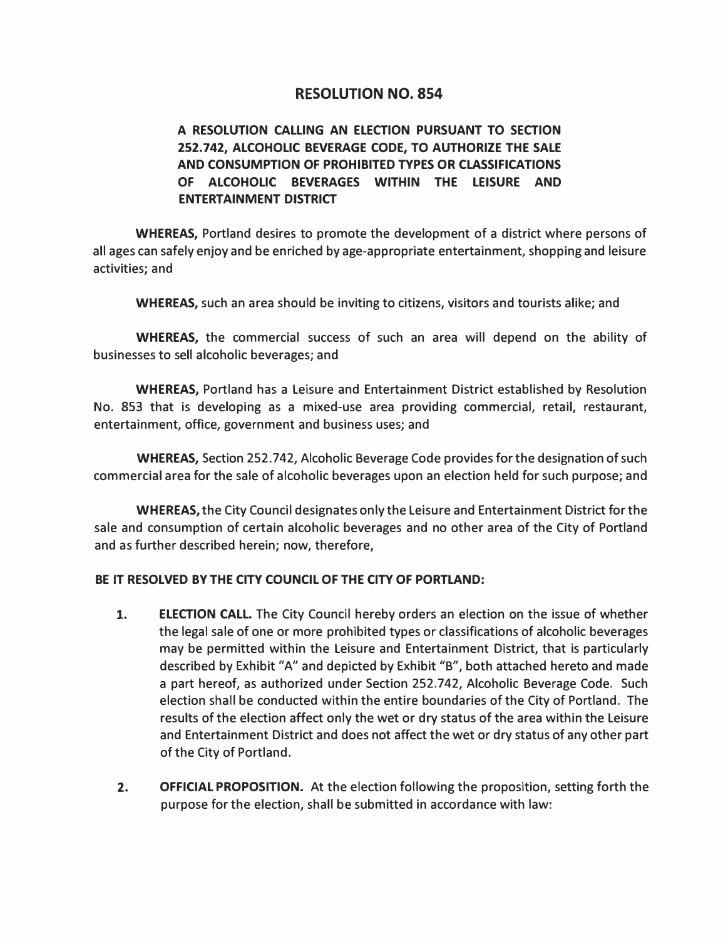# **RESOLUTION NO. 854**

# **A RESOLUTION CALLING AN ELECTION PURSUANT TO SECTION 252.742, ALCOHOLIC BEVERAGE CODE, TO AUTHORIZE THE SALE AND CONSUMPTION OF PROHIBITED TYPES OR CLASSIFICATIONS OF ALCOHOLIC BEVERAGES WITHIN THE LEISURE AND ENTERTAINMENT DISTRICT**

**WHEREAS,** Portland desires to promote the development of a district where persons of all ages can safely enjoy and be enriched by age-appropriate entertainment, shopping and leisure activities; and

**WHEREAS,** such an area should be inviting to citizens, visitors and tourists alike; and

**WHEREAS,** the commercial success of such an area will depend on the ability of businesses to sell alcoholic beverages; and

**WHEREAS,** Portland has a Leisure and Entertainment District established by Resolution No. 853 that is developing as a mixed-use area providing commercial, retail, restaurant, entertainment, office, government and business uses; and

**WHEREAS,** Section 252. 742, Alcoholic Beverage Code provides for the designation of such commercial area for the sale of alcoholic beverages upon an election held for such purpose; and

**WHEREAS,** the City Council designates only the Leisure and Entertainment District for the sale and consumption of certain alcoholic beverages and no other area of the City of Portland and as further described herein; now, therefore,

# **BE IT RESOLVED BY THE CITY COUNCIL OF THE CITY OF PORTLAND:**

- 1. **ELECTION CALL.** The City Council hereby orders an election on the issue of whether the legal sale of one or more prohibited types or classifications of alcoholic beverages may be permitted within the Leisure and Entertainment District, that is particularly described by Exhibit "A" and depicted by Exhibit "B", both attached hereto and made a part hereof, as authorized under Section 252.742, Alcoholic Beverage Code. Such election shall be conducted within the entire boundaries of the City of Portland. The results of the election affect only the wet or dry status of the area within the Leisure and Entertainment District and does not affect the wet or dry status of any other part of the City of Portland.
- **2. OFFICIAL PROPOSITION.** At the election following the proposition, setting forth the purpose for the election, shall be submitted in accordance with law: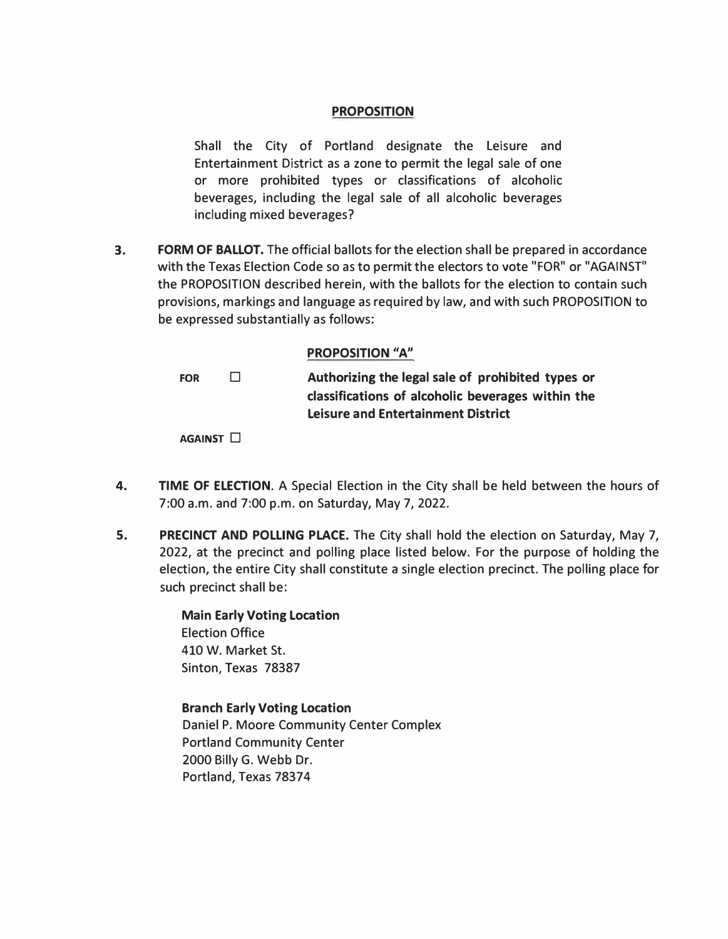# **PROPOSITION**

Shall the City of Portland designate the Leisure and Entertainment District as a zone to permit the legal sale of one or more prohibited types or classifications of alcoholic beverages, including the legal sale of all alcoholic beverages including mixed beverages?

**3. FORM OF BALLOT.** The official ballots for the election shall be prepared in accordance with the Texas Election Code so as to permit the electors to vote "FOR" or "AGAINST" the PROPOSITION described herein, with the ballots for the election to contain such provisions, markings and language as required by law, and with such PROPOSITION to be expressed substantially as follows:

# **PROPOSITION "A"**

**FOR** □ **Authorizing the legal sale of prohibited types or classifications of alcoholic beverages within the Leisure and Entertainment District** 

**AGAINST** □

- **4. TIME OF ELECTION.** A Special Election in the City shall be held between the hours of 7:00 a.m. and 7:00 p.m. on Saturday, May 7, 2022.
- **5. PRECINCT AND POLLING PLACE.** The City shall hold the election on Saturday, May 7, 2022, at the precinct and polling place listed below. For the purpose of holding the election, the entire City shall constitute a single election precinct. The polling place for such precinct shall be:

**Main Early Voting Location**  Election Office 410 W. Market St. Sinton, Texas 78387

**Branch Early Voting Location**  Daniel P. Moore Community Center Complex Portland Community Center 2000 Billy G. Webb Dr. Portland, Texas 78374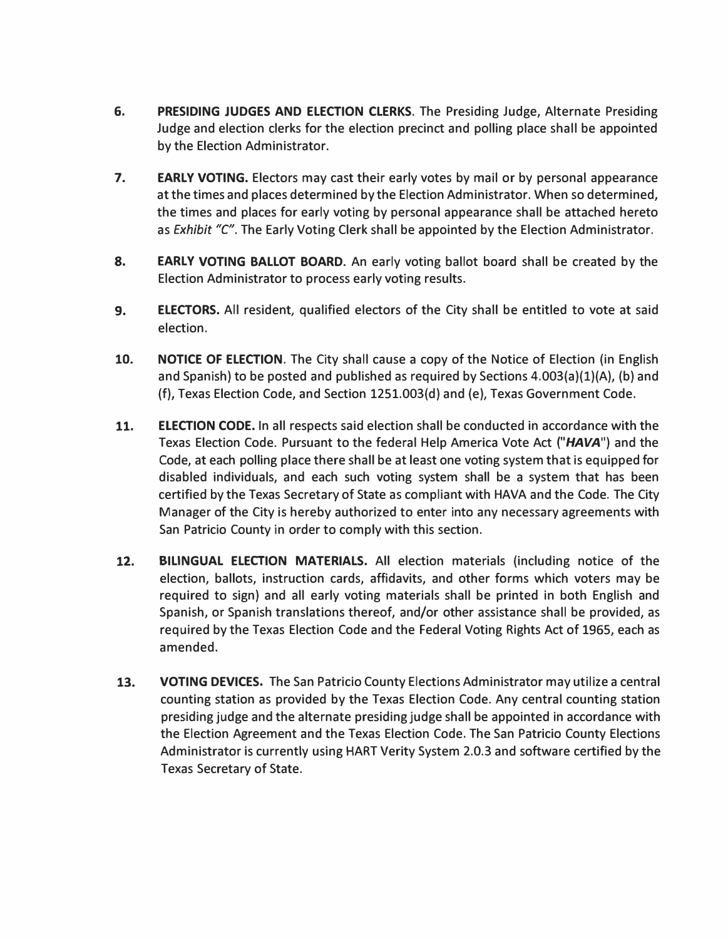- **6. PRESIDING JUDGES AND ELECTION CLERKS.** The Presiding Judge, Alternate Presiding Judge and election clerks for the election precinct and polling place shall be appointed by the Election Administrator.
- **7. EARLY VOTING.** Electors may cast their early votes by mail or by personal appearance at the times and places determined by the Election Administrator. When so determined, the times and places for early voting by personal appearance shall be attached hereto as *Exhibit* "C". The Early Voting Clerk shall be appointed by the Election Administrator.
- **8. EARLY VOTING BALLOT BOARD.** An early voting ballot board shall be created by the Election Administrator to process early voting results.
- **9. ELECTORS.** All resident, qualified electors of the City shall be entitled to vote at said election.
- **10. NOTICE OF ELECTION.** The City shall cause a copy of the Notice of Election (in English and Spanish) to be posted and published as required by Sections 4.003(a)(1)(A), (b) and (f), Texas Election Code, and Section 1251.003(d) and (e), Texas Government Code.
- **11. ELECTION CODE.** In all respects said election shall be conducted in accordance with the Texas Election Code. Pursuant to the federal Help America Vote Act *("HAVA")* and the Code, at each polling place there shall be at least one voting system that is equipped for disabled individuals, and each such voting system shall be a system that has been certified by the Texas Secretary of State as compliant with HAVA and the Code. The City Manager of the City is hereby authorized to enter into any necessary agreements with San Patricio County in order to comply with this section.
- **12. BILINGUAL ELECTION MATERIALS.** All election materials (including notice of the election, ballots, instruction cards, affidavits, and other forms which voters may be required to sign) and all early voting materials shall be printed in both English and Spanish, or Spanish translations thereof, and/or other assistance shall be provided, as required by the Texas Election Code and the Federal Voting Rights Act of 1965, each as amended.
- **13. VOTING DEVICES.** The San Patricio County Elections Administrator may utilize a central counting station as provided by the Texas Election Code. Any central counting station presiding judge and the alternate presiding judge shall be appointed in accordance with the Election Agreement and the Texas Election Code. The San Patricio County Elections Administrator is currently using HART Verity System 2.0.3 and software certified by the Texas Secretary of State.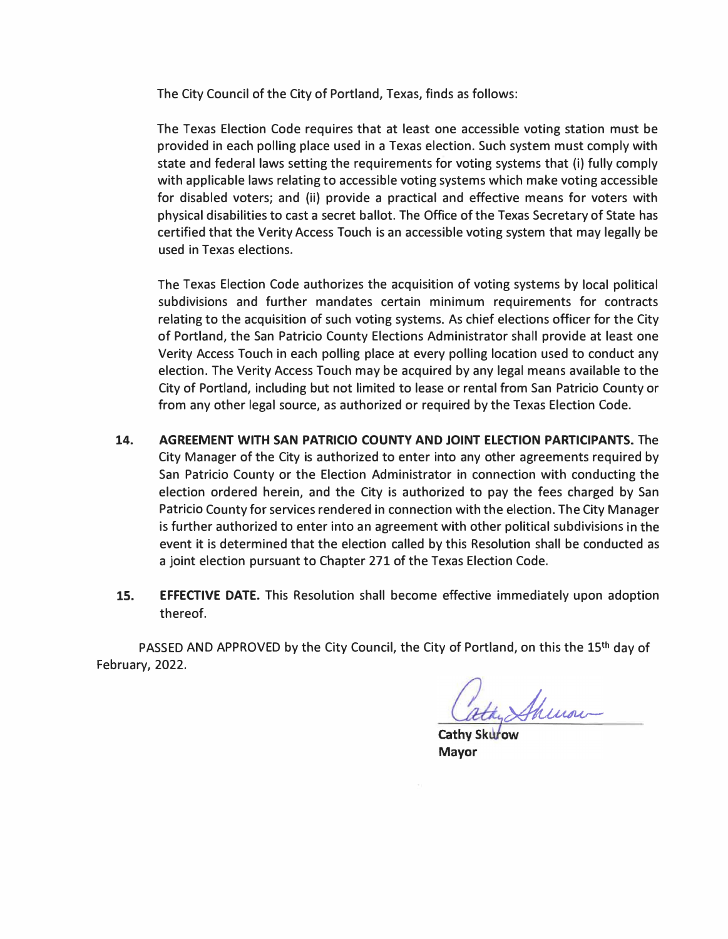The City Council of the City of Portland, Texas, finds as follows:

The Texas Election Code requires that at least one accessible voting station must be provided in each polling place used in a Texas election. Such system must comply with state and federal laws setting the requirements for voting systems that (i) fully comply with applicable laws relating to accessible voting systems which make voting accessible for disabled voters; and (ii) provide a practical and effective means for voters with physical disabilities to cast a secret ballot. The Office of the Texas Secretary of State has certified that the Verity Access Touch is an accessible voting system that may legally be used in Texas elections.

The Texas Election Code authorizes the acquisition of voting systems by local political subdivisions and further mandates certain minimum requirements for contracts relating to the acquisition of such voting systems. As chief elections officer for the City of Portland, the San Patricio County Elections Administrator shall provide at least one Verity Access Touch in each polling place at every polling location used to conduct any election. The Verity Access Touch may be acquired by any legal means available to the City of Portland, including but not limited to lease or rental from San Patricio County or from any other legal source, as authorized or required by the Texas Election Code.

- **14. AGREEMENT WITH SAN PATRICIO COUNTY AND JOINT ELECTION PARTICIPANTS.** The City Manager of the City is authorized to enter into any other agreements required by San Patricio County or the Election Administrator in connection with conducting the election ordered herein, and the City is authorized to pay the fees charged by San Patricio County for services rendered in connection with the election. The City Manager is further authorized to enter into an agreement with other political subdivisions in the event it is determined that the election called by this Resolution shall be conducted as a joint election pursuant to Chapter 271 of the Texas Election Code.
- **15. EFFECTIVE DATE.** This Resolution shall become effective immediately upon adoption thereof.

PASSED AND APPROVED by the City Council, the City of Portland, on this the 15<sup>th</sup> day of February, 2022.

atay Shewar

Cathy Skuro Mayor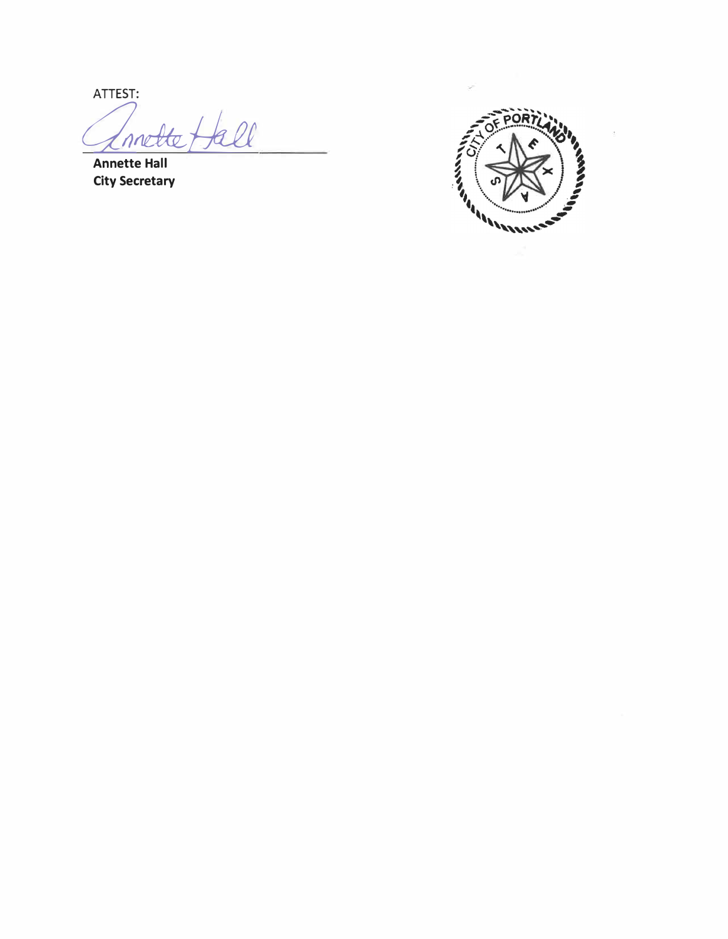ATTEST: Invette Hall

**Annette Hall City Secretary** 

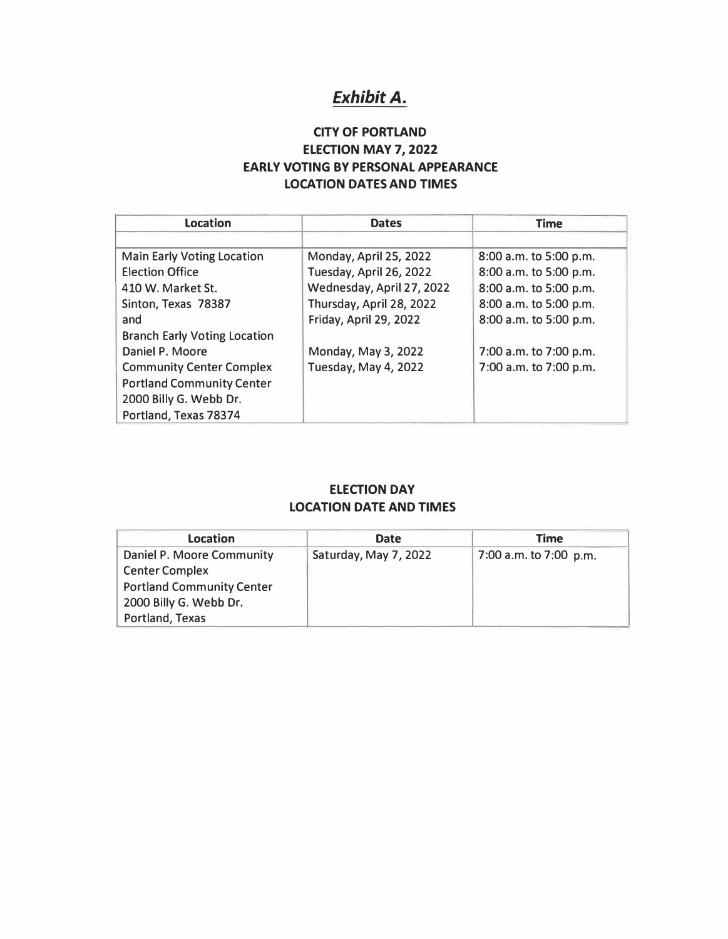# *Exhibit A.*

# **CITY OF PORTLAND ELECTION MAY 7, 2022 EARLY VOTING BY PERSONAL APPEARANCE LOCATION DATES AND TIMES**

| <b>Location</b>                     | <b>Dates</b>              | <b>Time</b>            |
|-------------------------------------|---------------------------|------------------------|
|                                     |                           |                        |
| <b>Main Early Voting Location</b>   | Monday, April 25, 2022    | 8:00 a.m. to 5:00 p.m. |
| <b>Election Office</b>              | Tuesday, April 26, 2022   | 8:00 a.m. to 5:00 p.m. |
| 410 W. Market St.                   | Wednesday, April 27, 2022 | 8:00 a.m. to 5:00 p.m. |
| Sinton, Texas 78387                 | Thursday, April 28, 2022  | 8:00 a.m. to 5:00 p.m. |
| and                                 | Friday, April 29, 2022    | 8:00 a.m. to 5:00 p.m. |
| <b>Branch Early Voting Location</b> |                           |                        |
| Daniel P. Moore                     | Monday, May 3, 2022       | 7:00 a.m. to 7:00 p.m. |
| <b>Community Center Complex</b>     | Tuesday, May 4, 2022      | 7:00 a.m. to 7:00 p.m. |
| <b>Portland Community Center</b>    |                           |                        |
| 2000 Billy G. Webb Dr.              |                           |                        |
| Portland, Texas 78374               |                           |                        |

# **ELECTION DAY LOCATION DATE AND TIMES**

| <b>Location</b>                  | <b>Date</b>           | Time                   |
|----------------------------------|-----------------------|------------------------|
| Daniel P. Moore Community        | Saturday, May 7, 2022 | 7:00 a.m. to 7:00 p.m. |
| <b>Center Complex</b>            |                       |                        |
| <b>Portland Community Center</b> |                       |                        |
| 2000 Billy G. Webb Dr.           |                       |                        |
| Portland, Texas                  |                       |                        |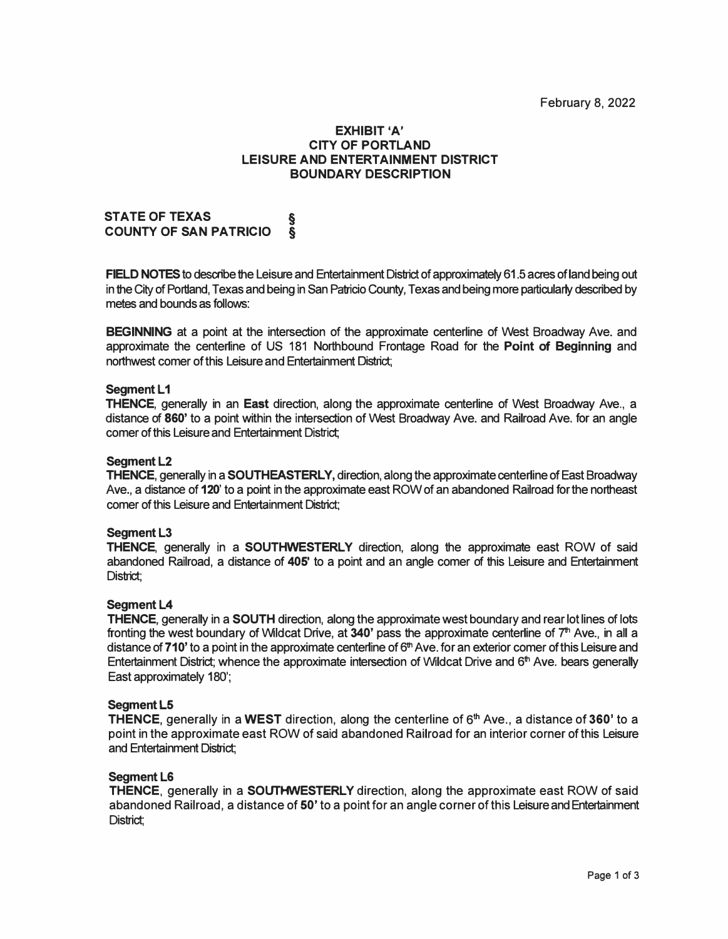# **EXHIBIT 'A' CITY OF PORTLAND LEISURE AND ENTERTAINMENT DISTRICT BOUNDARY DESCRIPTION**

**STATE OF TEXAS § COUNTY OF SAN PATRICIO §** 

**FIELD NOTES** to describe the Leisure and Entertainment District of approximately 61.5 acres of land being out in the City of Portland, Texas and being in San Patricio County, Texas and being more particularty described by metes and bounds as follows:

**BEGINNING** at a point at the intersection of the approximate centerline of West Broadway Ave. and approximate the centerline of US 181 Northbound Frontage Road for the **Point of Beginning** and northwest comer of this Leisure and Entertainment District;

# **Seament L1**

**THENCE,** generally in an **East** direction, along the approximate centerline of West Broadway Ave., a distance of **860'** to a point within the intersection of West Broadway Ave. and Railroad Ave. for an angle comer of this Leisure and Entertainment District;

#### **Seament L2**

**THENCE,** generally in a **SOUTHEASTERLY,** direction, along the approximate centerline of East Broadway Ave., a distance of **120'** to a point in the approximate east ROW of an abandoned Railroad for the northeast comer of this Leisure and Entertainment District;

#### **Segment L3**

**THENCE,** generally in a **SOUTHWESTERLY** direction, along the approximate east ROW of said abandoned Railroad, a distance of **405'** to a point and an angle comer of this Leisure and Entertainment District:

#### **Segment L4**

**THENCE,** generally in a **SOUTH** direction, along the approximate west boundary and rear lot lines of lots fronting the west boundary of Wildcat Drive, at 340' pass the approximate centerline of 7<sup>th</sup> Ave., in all a distance of **710'** to a point in the approximate centerline of 6<sup>th</sup> Ave. for an exterior comer of this Leisure and Entertainment District; whence the approximate intersection of Wildcat Drive and 6 **th** Ave. bears generally East approximately 180';

#### **Seament L5**

**THENCE,** generally in a **WEST** direction, along the centerline of 6 **th** Ave., a distance of **360'** to a point in the approximate east ROW of said abandoned Railroad for an interior corner of this Leisure and Entertainment District;

#### **SegmentL6**

**THENCE,** generally in a **SOUTHWESTERLY** direction, along the approximate east ROW of said abandoned Railroad, a distance of **50'** to a point for an angle corner of this Leisure and Entertainment District;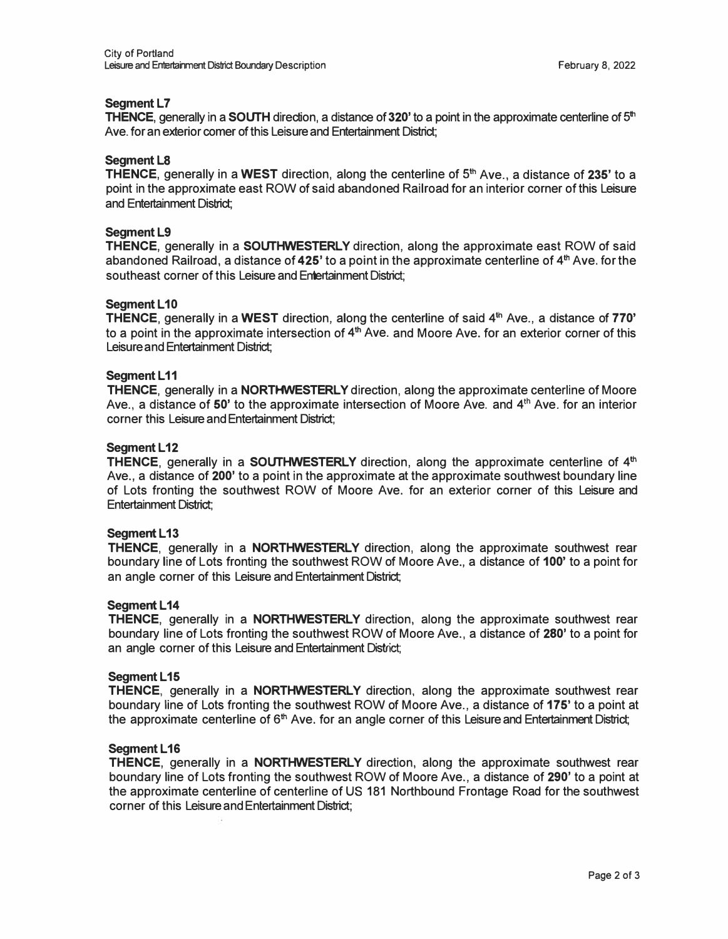# **Seament L7**

**THENCE, generally in a <b>SOUTH** direction, a distance of 320' to a point in the approximate centerline of 5<sup>th</sup> Ave. for an exterior comer of this Leisure and Entertainment District;

# **Segment LS**

**THENCE,** generally in a **WEST** direction, along the centerline of 5 **th** Ave., a distance of **235'** to a point in the approximate east ROW of said abandoned Railroad for an interior corner of this Leisure and Entertainment District;

# **Segment L9**

**THENCE,** generally in a **SOUTHWESTERLY** direction, along the approximate east ROW of said abandoned Railroad, a distance of **425'** to a point in the approximate centerline of 4 **th** Ave. for the southeast corner of this Leisure and Entertainment District:

# **Segment L10**

**THENCE,** generally in a **WEST** direction, along the centerline of said 4 th Ave., a distance of **770'**  to a point in the approximate intersection of 4 **th** Ave. and Moore Ave. for an exterior corner of this Leisure and Entertainment District;

# **Segment L11**

**THENCE,** generally in a **NORTHWESTERLY** direction, along the approximate centerline of Moore Ave., a distance of **50'** to the approximate intersection of Moore Ave. and 4 **th** Ave. for an interior corner this Leisure and Entertainment District;

# **Seament L12**

**THENCE**, generally in a **SOUTHWESTERLY** direction, along the approximate centerline of 4<sup>th</sup> Ave., a distance of **200'** to a point in the approximate at the approximate southwest boundary line of Lots fronting the southwest ROW of Moore Ave. for an exterior corner of this Leisure and Entertainment District;

# **Seament L13**

**THENCE,** generally in a **NORTHWESTERLY** direction, along the approximate southwest rear boundary line of Lots fronting the southwest ROW of Moore Ave., a distance of **100'** to a point for an angle corner of this Leisure and Entertainment District;

# **Seament L14**

**THENCE,** generally in a **NORTHWESTERLY** direction, along the approximate southwest rear boundary line of Lots fronting the southwest ROW of Moore Ave., a distance of **280'** to a point for an angle corner of this Leisure and Entertainment District;

# **Seament L15**

**THENCE,** generally in a **NORTHWESTERLY** direction, along the approximate southwest rear boundary line of Lots fronting the southwest ROW of Moore Ave., a distance of **175'** to a point at the approximate centerline of 6<sup>th</sup> Ave. for an angle corner of this Leisure and Entertainment District;

# **Segment L16**

**THENCE,** generally in a **NORTHWESTERLY** direction, along the approximate southwest rear boundary line of Lots fronting the southwest ROW of Moore Ave., a distance of **290'** to a point at the approximate centerline of centerline of US 181 Northbound Frontage Road for the southwest corner of this Leisure and Entertainment District;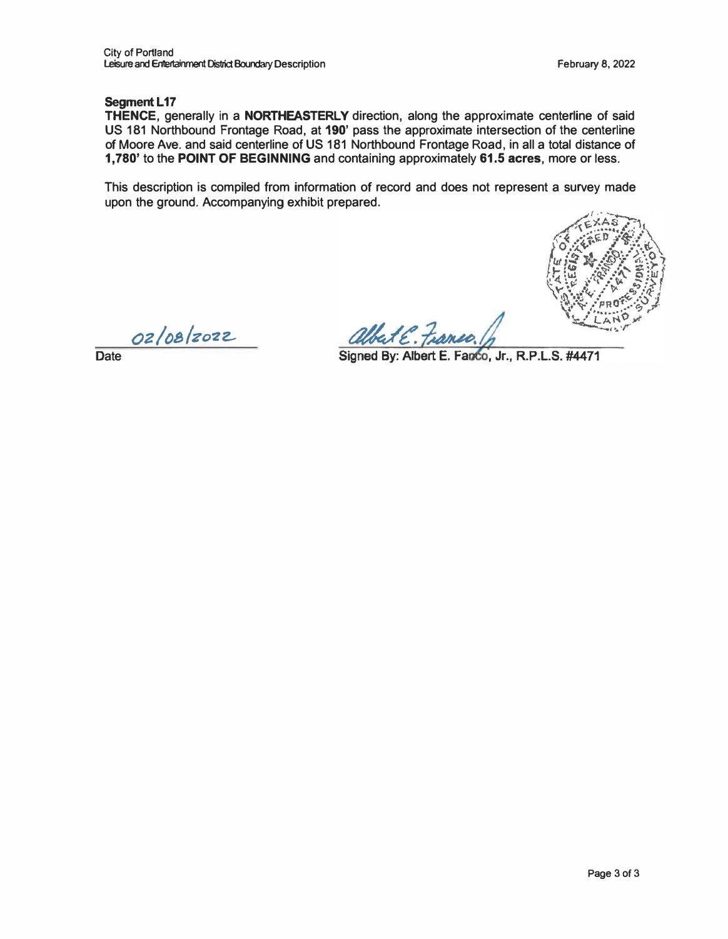# **Seament L17**

**THENCE,** generally in a **NORTHEASTERLY** direction, along the approximate centerline of said US 181 Northbound Frontage Road, at **190'** pass the approximate intersection of the centerline of Moore Ave. and said centerline of US 181 Northbound Frontage Road, in all a total distance of **1,780'** to the **POINT OF BEGINNING** and containing approximately **61.5 acres,** more or less.

This description is compiled from information of record and does not represent a survey made upon the ground. Accompanying exhibit prepared.



*oz/os/zo-ze-*

albert E. Franco.

**Date** 

Signed By: Albert E. Fanco, Jr., R.P.L.S. #4471